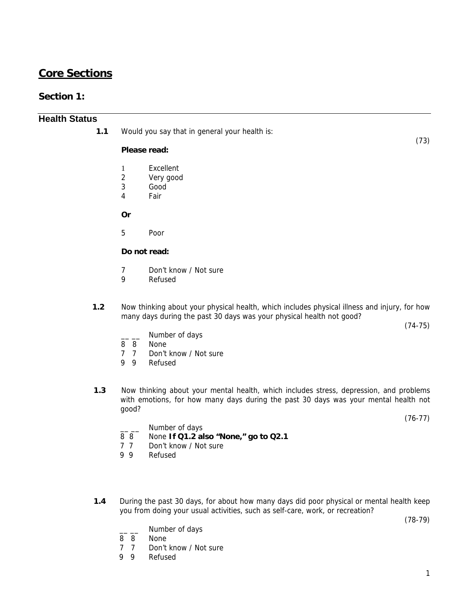## **Core Sections**

## **Section 1:**

## **Health Status**

**1.1** Would you say that in general your health is:

### **Please read:**

- 1 Excellent<br>2 Very good
- Very good
- 3 Good
- 4 Fair

**Or** 

5 Poor

### **Do not read:**

- 7 Don't know / Not sure
- 9 Refused
- **1.2** Now thinking about your physical health, which includes physical illness and injury, for how many days during the past 30 days was your physical health not good?

(74-75)

(73)

- Number of days
- 8 8 None
- 7 7 Don't know / Not sure
- 9 9 Refused
- **1.3** Now thinking about your mental health, which includes stress, depression, and problems with emotions, for how many days during the past 30 days was your mental health not good?

(76-77)

- Number of days
- 8 8 None **If Q1.2 also "None," go to Q2.1**
- 7 7 Don't know / Not sure
- 9 9 Refused
- **1.4** During the past 30 days, for about how many days did poor physical or mental health keep you from doing your usual activities, such as self-care, work, or recreation?

(78-79)

- Number of days
- 8 8 None
- 7 7 Don't know / Not sure
- 9 9 Refused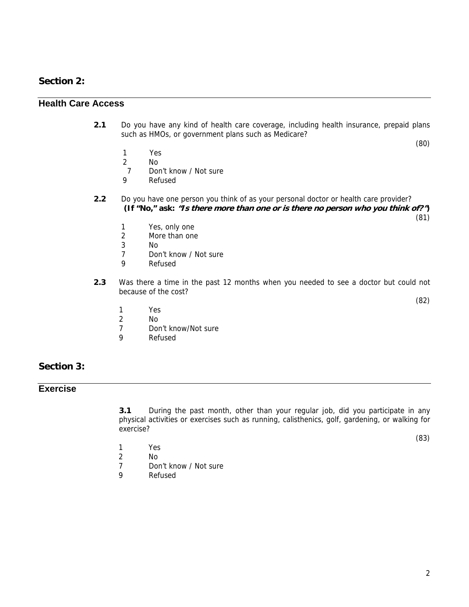## **Section 2:**

## **Health Care Access**

**2.1** Do you have any kind of health care coverage, including health insurance, prepaid plans such as HMOs, or government plans such as Medicare?

(80)

- 1 Yes
- 2 No
- 7 Don't know / Not sure
- 9 Refused
- **2.2** Do you have one person you think of as your personal doctor or health care provider? **(If "No," ask: "Is there more than one or is there no person who you think of?")** 
	- (81)

- 1 Yes, only one
- 2 More than one
- 3 No
- 7 Don't know / Not sure
- 9 Refused
- **2.3** Was there a time in the past 12 months when you needed to see a doctor but could not because of the cost?

(82)

- 1 Yes
- 2 No
- 7 Don't know/Not sure<br>9 Refused
- Refused

### **Section 3:**

## **Exercise**

**3.1** During the past month, other than your regular job, did you participate in any physical activities or exercises such as running, calisthenics, golf, gardening, or walking for exercise?

(83)

- 1 Yes
- 2 No
- 7 Don't know / Not sure
- 9 Refused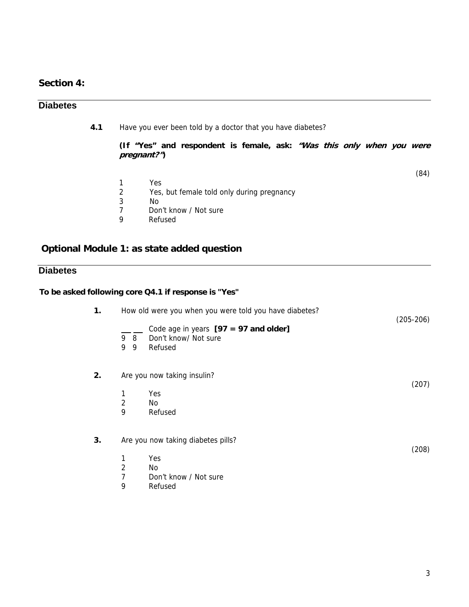## **Section 4:**

## **Diabetes**

**4.1** Have you ever been told by a doctor that you have diabetes?

**(If "Yes" and respondent is female, ask: "Was this only when you were pregnant?")** 

(84)

1 Yes<br>2 Yes, Yes, but female told only during pregnancy 3 No<br>7 Dor 7 Don't know / Not sure<br>9 Refused **Refused** 

## **Optional Module 1: as state added question**

**To be asked following core Q4.1 if response is "Yes"** 

## **Diabetes**

| 1. |                | How old were you when you were told you have diabetes?                     |             |
|----|----------------|----------------------------------------------------------------------------|-------------|
|    | 98<br>9<br>- 9 | Code age in years $[97 = 97$ and older]<br>Don't know/ Not sure<br>Refused | $(205-206)$ |
| 2. |                | Are you now taking insulin?                                                | (207)       |
|    | 1              | Yes                                                                        |             |
|    | $\overline{2}$ | No.                                                                        |             |
|    | 9              | Refused                                                                    |             |
| 3. |                | Are you now taking diabetes pills?                                         | (208)       |
|    | 1              | Yes                                                                        |             |
|    | 2              | No                                                                         |             |
|    | 7              | Don't know / Not sure                                                      |             |
|    | 9              | Refused                                                                    |             |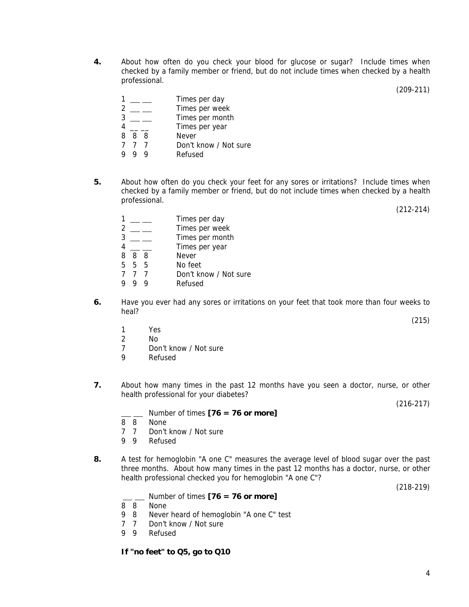**4.** About how often do you check your blood for glucose or sugar? Include times when checked by a family member or friend, but do not include times when checked by a health professional.

(209-211)

|        |     | Times per day         |
|--------|-----|-----------------------|
|        |     |                       |
|        |     | Times per week        |
|        |     | Times per month       |
|        |     | Times per year        |
| 8<br>8 | - 8 | <b>Never</b>          |
|        |     | Don't know / Not sure |
|        |     | Refused               |

**5.** About how often do you check your feet for any sores or irritations? Include times when checked by a family member or friend, but do not include times when checked by a health professional.

(212-214)

- 1 \_\_ \_ Times per day 2 \_\_ \_ Times per week  $\frac{3}{4}$  — Times per month<br>Times per year Times per year 8 8 8 Never 5 5 5 No feet 7 7 7 Don't know / Not sure 9 9 9 Refused
- **6.** Have you ever had any sores or irritations on your feet that took more than four weeks to heal?
- 1 Yes
- 2 No
	- 7 Don't know / Not sure
	- 9 Refused
	- **7.** About how many times in the past 12 months have you seen a doctor, nurse, or other health professional for your diabetes?

(216-217)

(215)

- Number of times **[76 = 76 or more]**
- 8 8 None
- 7 7 Don't know / Not sure
- 9 9 Refused
- **8.** A test for hemoglobin "A one C" measures the average level of blood sugar over the past three months. About how many times in the past 12 months has a doctor, nurse, or other health professional checked you for hemoglobin "A one C"?

(218-219)

Number of times **[76 = 76 or more]**

- 8 8 None
- 9 8 Never heard of hemoglobin "A one C" test
- 7 7 Don't know / Not sure
- 9 9 Refused

**If "no feet" to Q5, go to Q10**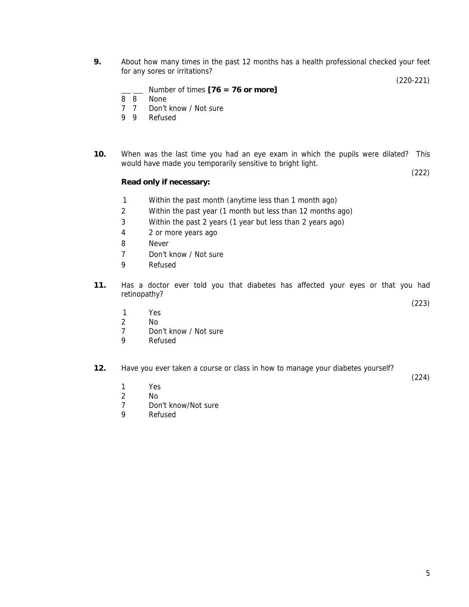**9.** About how many times in the past 12 months has a health professional checked your feet for any sores or irritations?

(220-221)

(223)

(224)

| Number of times $[76 = 76$ or more] |
|-------------------------------------|
|-------------------------------------|

- $\overline{8}$   $\overline{8}$  None
- 7 7 Don't know / Not sure
- 9 9 Refused
- **10.** When was the last time you had an eye exam in which the pupils were dilated? This would have made you temporarily sensitive to bright light. (222)

#### **Read only if necessary:**

- 1 Within the past month (anytime less than 1 month ago)
- 2 Within the past year (1 month but less than 12 months ago)
- 3 Within the past 2 years (1 year but less than 2 years ago)
- 4 2 or more years ago
- 8 Never
- 7 Don't know / Not sure
- 9 Refused
- **11.** Has a doctor ever told you that diabetes has affected your eyes or that you had retinopathy?
	- 1 Yes
- 2 No
	- 7 Don't know / Not sure
	- 9 Refused
	- **12.** Have you ever taken a course or class in how to manage your diabetes yourself?
- 1 Yes
- 2 No
	- 7 Don't know/Not sure<br>9 Refused
	- **Refused**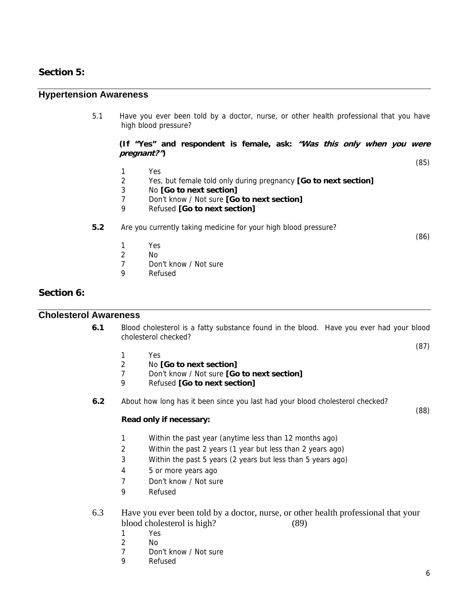## **Section 5:**

### **Hypertension Awareness**

5.1 Have you ever been told by a doctor, nurse, or other health professional that you have high blood pressure?

**(If "Yes" and respondent is female, ask: "Was this only when you were pregnant?")** 

(85)

- 1 Yes
- 2 Yes, but female told only during pregnancy **[Go to next section]**
- 3 No **[Go to next section]**
- 7 Don't know / Not sure **[Go to next section]**
- 9 Refused **[Go to next section]**

### **5.2** Are you currently taking medicine for your high blood pressure?

(86)

- 1 Yes
- 2 No
- 7 Don't know / Not sure
- 9 Refused

### **Section 6:**

## **Cholesterol Awareness**

**6.1** Blood cholesterol is a fatty substance found in the blood. Have you ever had your blood cholesterol checked?

(87)

(88)

- 1 Yes
- 2 No **[Go to next section]**
- 7 Don't know / Not sure **[Go to next section]**
- 9 Refused **[Go to next section]**
- **6.2** About how long has it been since you last had your blood cholesterol checked?

#### **Read only if necessary:**

- 1 Within the past year (anytime less than 12 months ago)
- 2 Within the past 2 years (1 year but less than 2 years ago)
- 3 Within the past 5 years (2 years but less than 5 years ago)
- 4 5 or more years ago
- 7 Don't know / Not sure
- 9 Refused
- 6.3 Have you ever been told by a doctor, nurse, or other health professional that your blood cholesterol is high? (89)
	- 1 Yes
	- 2 No
	- 7 Don't know / Not sure
	- 9 Refused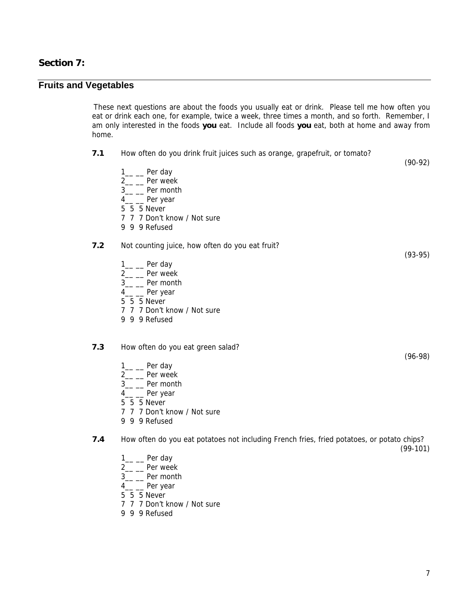## **Section 7:**

# **Fruits and Vegetables**

 These next questions are about the foods you usually eat or drink. Please tell me how often you eat or drink each one, for example, twice a week, three times a month, and so forth. Remember, I am only interested in the foods **you** eat. Include all foods **you** eat, both at home and away from home.

| 7.1 | How often do you drink fruit juices such as orange, grapefruit, or tomato?                                                                                                                 | $(90-92)$  |
|-----|--------------------------------------------------------------------------------------------------------------------------------------------------------------------------------------------|------------|
|     | $1\_\_\_\$ Per day<br>2 <sub>__</sub> __ Per week<br>3 <sub>__</sub> __ Per month<br>4 <sub>__</sub> __ Per year<br>5 5 5 Never<br>7 7 7 Don't know / Not sure<br>9 9 9 Refused            |            |
| 7.2 | Not counting juice, how often do you eat fruit?                                                                                                                                            | $(93-95)$  |
|     | $1$ <sub>__</sub> ___ Per day<br>2 <sub>__</sub> __ Per week<br>3 <sub>__</sub> __ Per month<br>4 <sub>__</sub> __ Per year<br>5 5 5 Never<br>7 7 7 Don't know / Not sure<br>9 9 9 Refused |            |
| 7.3 | How often do you eat green salad?                                                                                                                                                          |            |
|     | $1\_\_\_\$ Per day<br>2 <sub>__</sub> __ Per week<br>3 <sub>__</sub> __ Per month<br>4 <sub>__</sub> __ Per year<br>5 5 5 Never<br>7 7 7 Don't know / Not sure<br>9 9 9 Refused            | $(96-98)$  |
| 7.4 | How often do you eat potatoes not including French fries, fried potatoes, or potato chips?                                                                                                 | $(99-101)$ |
|     | $1\_\_\_\$ Per day                                                                                                                                                                         |            |

- 
- 2<sub>\_\_</sub> \_\_ Per week
- $3$ <sub>—</sub>  $-$  Per month
- $4\_\_$  Per year
- 5 5 5 Never
- 7 7 7 Don't know / Not sure
- 9 9 9 Refused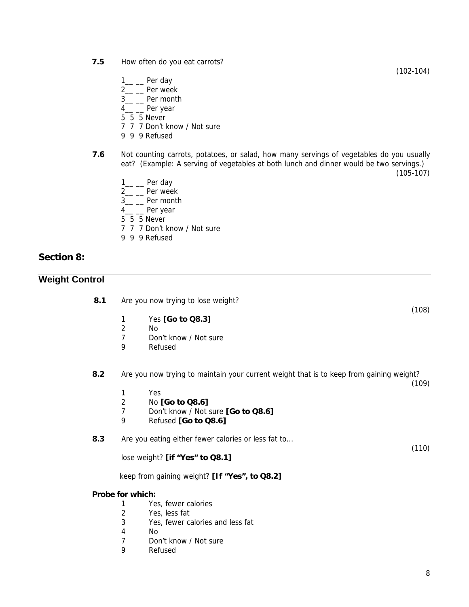- **7.5** How often do you eat carrots?
	- $1\_\_$  Per day
	- 2<sub>\_\_</sub> \_\_ Per week
	- 3<sub>\_\_</sub> \_\_ Per month
	- 4<sub>\_\_</sub> \_\_ Per year
	- $5 \overline{5}$  5 Never
	- 7 7 7 Don't know / Not sure
	- 9 9 9 Refused
- **7.6** Not counting carrots, potatoes, or salad, how many servings of vegetables do you usually eat? (Example: A serving of vegetables at both lunch and dinner would be two servings.)

(105-107)

(102-104)

- $1$ <sub>\_\_</sub> \_\_\_ Per day
- 2<sub>\_\_</sub> \_\_ Per week
- 3<sub>\_\_</sub> \_\_ Per month
- 4\_\_ \_\_ Per year
- 5 5 5 Never
- 7 7 7 Don't know / Not sure
- 9 9 9 Refused

### **Section 8:**

## **Weight Control**

- **8.1** Are you now trying to lose weight?
	- 1 Yes **[Go to Q8.3]**
	- 2 No
	- 7 Don't know / Not sure
	- 9 Refused

**8.2** Are you now trying to maintain your current weight that is to keep from gaining weight?

(109)

(110)

(108)

- 1 Yes
- 2 No **[Go to Q8.6]**
- 7 Don't know / Not sure **[Go to Q8.6]**
- 9 Refused **[Go to Q8.6]**

**8.3** Are you eating either fewer calories or less fat to...

lose weight? **[if "Yes" to Q8.1]**

keep from gaining weight? **[If "Yes", to Q8.2]** 

#### **Probe for which:**

- 1 Yes, fewer calories
- 2 Yes, less fat
- 3 Yes, fewer calories and less fat
- 4 No
- 7 Don't know / Not sure
- 9 Refused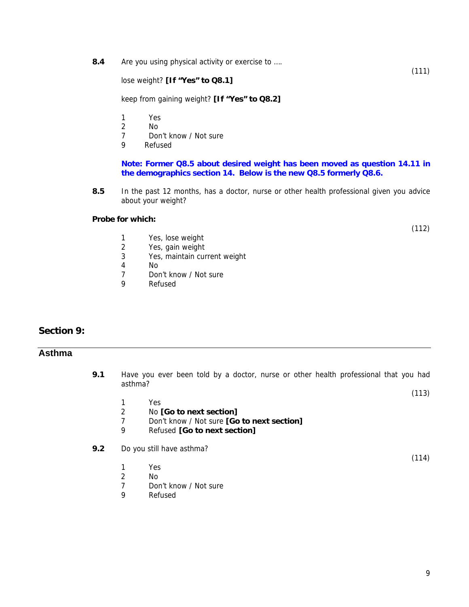**8.4** Are you using physical activity or exercise to ….

lose weight? **[If "Yes" to Q8.1]**

keep from gaining weight? **[If "Yes" to Q8.2]**

- 1 Yes<br>2 No
- N<sub>o</sub>
- 7 Don't know / Not sure
- 9 Refused

**Note: Former Q8.5 about desired weight has been moved as question 14.11 in the demographics section 14. Below is the new Q8.5 formerly Q8.6.** 

**8.5** In the past 12 months, has a doctor, nurse or other health professional given you advice about your weight?

#### **Probe for which:**

(112)

(111)

- 1 Yes, lose weight<br>2 Yes, gain weight
- Yes, gain weight
- 3 Yes, maintain current weight
- 4 No
- 7 Don't know / Not sure
- 9 Refused

## **Section 9:**

## **Asthma**

- **9.1** Have you ever been told by a doctor, nurse or other health professional that you had asthma? (113)
	- 1 Yes
	- 2 No **[Go to next section]**
	- 7 Don't know / Not sure **[Go to next section]**
	- 9 Refused **[Go to next section]**
- **9.2** Do you still have asthma?
	- 1 Yes
	- 2 No<br>7 Dor
	- 7 Don't know / Not sure<br>9 Refused
	- **Refused**

(114)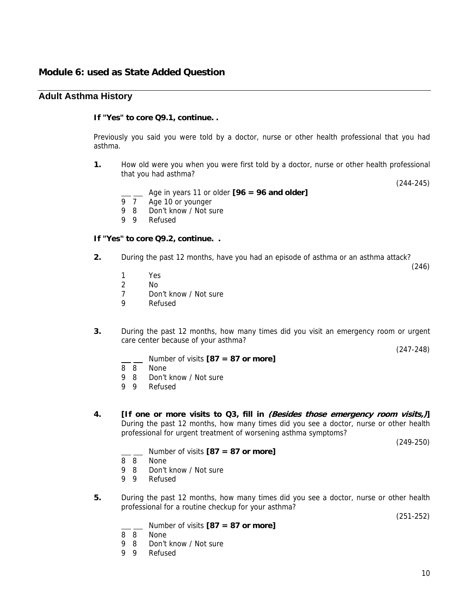### **Adult Asthma History**

#### **If "Yes" to core Q9.1, continue. .**

Previously you said you were told by a doctor, nurse or other health professional that you had asthma.

**1.** How old were you when you were first told by a doctor, nurse or other health professional that you had asthma?

(244-245)

(246)

- Age in years 11 or older **[96 = 96 and older]**
- 9 7 Age 10 or younger
- 9 8 Don't know / Not sure
- 9 9 Refused

#### **If "Yes" to core Q9.2, continue. .**

- **2.** During the past 12 months, have you had an episode of asthma or an asthma attack?
	- 1 Yes
	- 2 No
	- 7 Don't know / Not sure
	- 9 Refused
- **3.** During the past 12 months, how many times did you visit an emergency room or urgent care center because of your asthma?

(247-248)

- Number of visits **[87 = 87 or more]**
- 8 8 None
- 9 8 Don't know / Not sure<br>9 9 Refused
- Refused
- **4. [If one or more visits to Q3, fill in (Besides those emergency room visits,)]** During the past 12 months, how many times did you see a doctor, nurse or other health professional for urgent treatment of worsening asthma symptoms?

(249-250)

- Number of visits **[87 = 87 or more]**
- 8 8 None
- 9 8 Don't know / Not sure
- 9 9 Refused
- **5.** During the past 12 months, how many times did you see a doctor, nurse or other health professional for a routine checkup for your asthma?

(251-252)

- Number of visits **[87 = 87 or more]**
- 8 8 None
- 9 8 Don't know / Not sure
- 9 9 Refused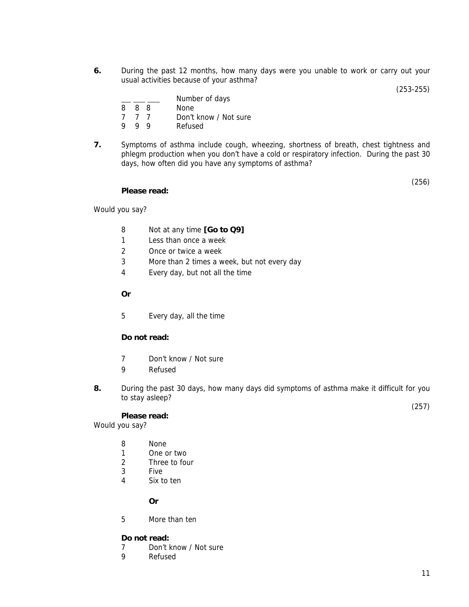**6.** During the past 12 months, how many days were you unable to work or carry out your usual activities because of your asthma?

(253-255)

|   |     |     | Number of days        |
|---|-----|-----|-----------------------|
|   | 888 |     | None                  |
|   | 777 |     | Don't know / Not sure |
| Q | Q   | - Q | Refused               |

**7.** Symptoms of asthma include cough, wheezing, shortness of breath, chest tightness and phlegm production when you don't have a cold or respiratory infection. During the past 30 days, how often did you have any symptoms of asthma?

(256)

#### **Please read:**

Would you say?

- 8 Not at any time **[Go to Q9]**
- 1 Less than once a week
- 2 Once or twice a week
- 3 More than 2 times a week, but not every day
- 4 Every day, but not all the time
- **Or**
- 5 Every day, all the time

#### **Do not read:**

- 7 Don't know / Not sure
- 9 Refused
- **8.** During the past 30 days, how many days did symptoms of asthma make it difficult for you to stay asleep?

**Please read:**

Would you say?

- 8 None
- 1 One or two
- 2 Three to four
- 3 Five
- 4 Six to ten

**Or** 

5 More than ten

#### **Do not read:**

- 7 Don't know / Not sure<br>9 Refused
- **Refused**

(257)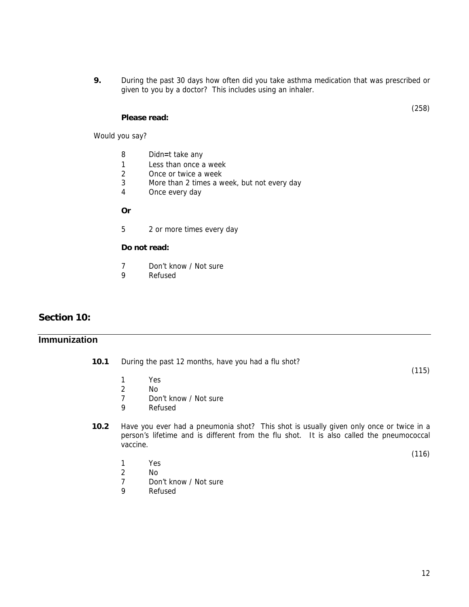**9.** During the past 30 days how often did you take asthma medication that was prescribed or given to you by a doctor? This includes using an inhaler.

#### **Please read:**

Would you say?

- 8 Didn**=**t take any
- 1 Less than once a week<br>2 Once or twice a week
- Once or twice a week
- 3 More than 2 times a week, but not every day
- 4 Once every day
- **Or**
- 5 2 or more times every day

#### **Do not read:**

- 7 Don't know / Not sure<br>9 Refused
- **Refused**

## **Section 10:**

## **Immunization**

- **10.1** During the past 12 months, have you had a flu shot?
	- 1 Yes
	- 2 No
	- 7 Don't know / Not sure
	- 9 Refused
- **10.2** Have you ever had a pneumonia shot? This shot is usually given only once or twice in a person's lifetime and is different from the flu shot. It is also called the pneumococcal vaccine.
	- 1 Yes
	- 2 No<br>7 Dor
	- 7 Don't know / Not sure<br>9 Refused
	- **Refused**

(115)

(116)

(258)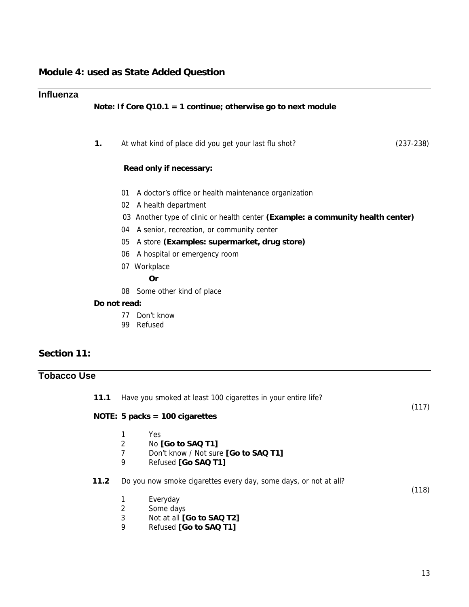## **Influenza**

## **Note: If Core Q10.1 = 1 continue; otherwise go to next module**

| 1.  | At what kind of place did you get your last flu shot?                           | $(237-238)$ |
|-----|---------------------------------------------------------------------------------|-------------|
|     | Read only if necessary:                                                         |             |
| 01  | A doctor's office or health maintenance organization                            |             |
|     | 02 A health department                                                          |             |
|     | 03 Another type of clinic or health center (Example: a community health center) |             |
| 04  | A senior, recreation, or community center                                       |             |
| 05  | A store (Examples: supermarket, drug store)                                     |             |
| 06. | A hospital or emergency room                                                    |             |
|     | 07 Workplace                                                                    |             |
|     | 0r                                                                              |             |
| 08  | Some other kind of place                                                        |             |

#### **Do not read:**

- 77 Don't know
- 99 Refused

## **Section 11:**

# **Tobacco Use**

| 11.1 | Have you smoked at least 100 cigarettes in your entire life? |                                                                                                                                                  |       |  |
|------|--------------------------------------------------------------|--------------------------------------------------------------------------------------------------------------------------------------------------|-------|--|
|      |                                                              | NOTE: 5 packs = $100$ cigarettes                                                                                                                 | (117) |  |
|      | 1<br>2<br>7<br>9                                             | Yes<br>No [Go to SAQ T1]<br>Don't know / Not sure [Go to SAQ T1]<br>Refused [Go SAQ T1]                                                          |       |  |
| 11.2 | 2<br>3<br>9                                                  | Do you now smoke cigarettes every day, some days, or not at all?<br>Everyday<br>Some days<br>Not at all [Go to SAQ T2]<br>Refused [Go to SAQ T1] | (118) |  |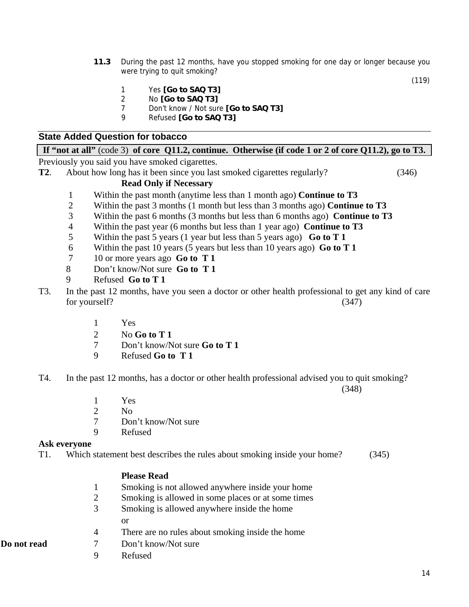**11.3** During the past 12 months, have you stopped smoking for one day or longer because you were trying to quit smoking?

(119)

- 1 Yes **[Go to SAQ T3]**
- 2 No **[Go to SAQ T3]**
- 7 Don't know / Not sure **[Go to SAQ T3]**
- 9 Refused **[Go to SAQ T3]**

## **State Added Question for tobacco**

## **If "not at all"** (code 3) **of core Q11.2, continue. Otherwise (if code 1 or 2 of core Q11.2), go to T3.**

Previously you said you have smoked cigarettes.

**T2**. About how long has it been since you last smoked cigarettes regularly? (346)

### **Read Only if Necessary**

- 1 Within the past month (anytime less than 1 month ago) **Continue to T3**
- 2 Within the past 3 months (1 month but less than 3 months ago) **Continue to T3**
- 3 Within the past 6 months (3 months but less than 6 months ago) **Continue to T3**
- 4 Within the past year (6 months but less than 1 year ago) **Continue to T3**
- 5 Within the past 5 years (1 year but less than 5 years ago) **Go to T 1**
- 6 Within the past 10 years (5 years but less than 10 years ago) **Go to T 1**
- 7 10 or more years ago **Go to T 1**
- 8 Don't know/Not sure **Go to T 1**
- 9 Refused **Go to T 1**
- T3. In the past 12 months, have you seen a doctor or other health professional to get any kind of care for yourself? (347)
	- 1 Yes
	- 2 No **Go to T 1**
	- 7 Don't know/Not sure **Go to T 1**
	- 9 Refused **Go to T 1**
- T4. In the past 12 months, has a doctor or other health professional advised you to quit smoking?

(348)

- 1 Yes
- 2 No
- 7 Don't know/Not sure
- 9 Refused

#### **Ask everyone**

T1. Which statement best describes the rules about smoking inside your home? (345)

#### **Please Read**

- 1 Smoking is not allowed anywhere inside your home
- 2 Smoking is allowed in some places or at some times
- 3 Smoking is allowed anywhere inside the home or
- 4 There are no rules about smoking inside the home
- **Do not read** 7 Don't know/Not sure
	- 9 Refused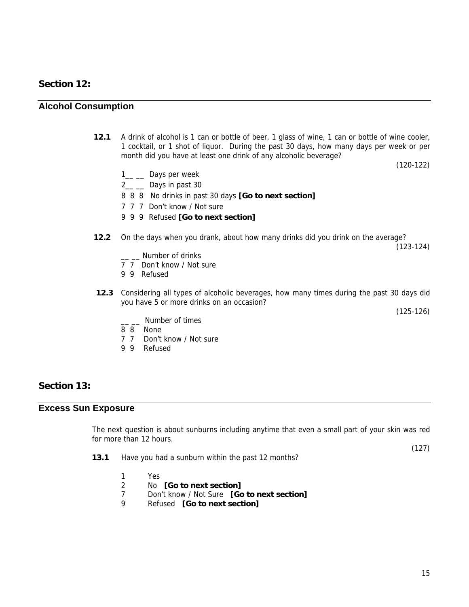### **Section 12:**

#### **Alcohol Consumption**

**12.1** A drink of alcohol is 1 can or bottle of beer, 1 glass of wine, 1 can or bottle of wine cooler, 1 cocktail, or 1 shot of liquor. During the past 30 days, how many days per week or per month did you have at least one drink of any alcoholic beverage?

(120-122)

- 1<sub>\_\_</sub> Days per week
- 2\_\_ \_\_ Days in past 30
- 8 8 8 No drinks in past 30 days **[Go to next section]**
- 7 7 7 Don't know / Not sure
- 9 9 9 Refused **[Go to next section]**
- **12.2** On the days when you drank, about how many drinks did you drink on the average?

(123-124)

- \_\_ \_\_ Number of drinks
- 7 7 Don't know / Not sure
- 9 9 Refused
- **12.3** Considering all types of alcoholic beverages, how many times during the past 30 days did you have 5 or more drinks on an occasion?

(125-126)

- \_\_ \_\_ Number of times
- 8 8 None
- 7 7 Don't know / Not sure
- 9 9 Refused

### **Section 13:**

### **Excess Sun Exposure**

 The next question is about sunburns including anytime that even a small part of your skin was red for more than 12 hours.

(127)

- **13.1** Have you had a sunburn within the past 12 months?
	- 1 Yes
	- 2 No **[Go to next section]**
	- 7 Don't know / Not Sure **[Go to next section]**
	- 9 Refused **[Go to next section]**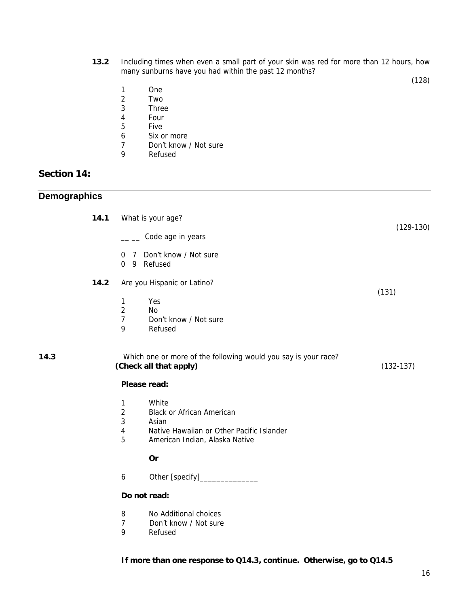**13.2** Including times when even a small part of your skin was red for more than 12 hours, how many sunburns have you had within the past 12 months?

(128)

- 1 One<br>2 Two
- **Two**
- 3 Three
- 4 Four<br>5 Five
- **Five**
- 6 Six or more<br>7 Don't know
- Don't know / Not sure
- 9 Refused

## **Section 14:**

|  | <b>Demographics</b> |  |
|--|---------------------|--|
|--|---------------------|--|

| 14.1 |                                                            | What is your age?                                                                                                                 | $(129-130)$ |
|------|------------------------------------------------------------|-----------------------------------------------------------------------------------------------------------------------------------|-------------|
|      |                                                            | Code age in years                                                                                                                 |             |
|      | $\overline{7}$<br>0<br>$0 \quad 9$                         | Don't know / Not sure<br>Refused                                                                                                  |             |
| 14.2 | 1<br>$\overline{2}$<br>$\overline{7}$<br>9                 | Are you Hispanic or Latino?<br>Yes<br>No<br>Don't know / Not sure<br>Refused                                                      | (131)       |
| 14.3 |                                                            | Which one or more of the following would you say is your race?<br>(Check all that apply)                                          | $(132-137)$ |
|      | Please read:                                               |                                                                                                                                   |             |
|      | 1<br>$\overline{c}$<br>$\mathbf{3}$<br>$\overline{4}$<br>5 | White<br><b>Black or African American</b><br>Asian<br>Native Hawaiian or Other Pacific Islander<br>American Indian, Alaska Native |             |
|      |                                                            | Or                                                                                                                                |             |
|      | 6                                                          | Other [specify]_                                                                                                                  |             |
|      | Do not read:                                               |                                                                                                                                   |             |
|      | 8<br>$\overline{7}$<br>9                                   | No Additional choices<br>Don't know / Not sure<br>Refused                                                                         |             |

#### **If more than one response to Q14.3, continue. Otherwise, go to Q14.5**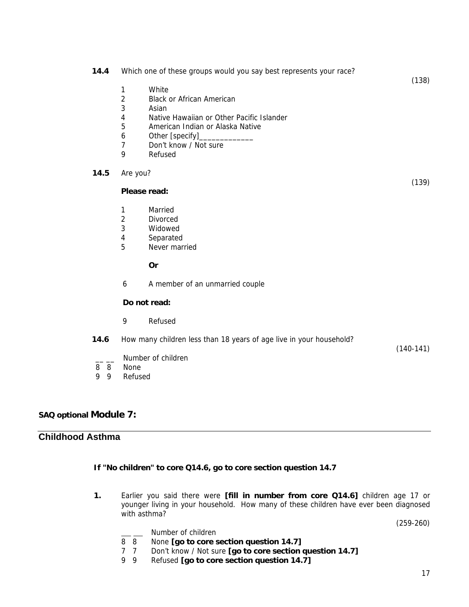|        | 14.4           | 1<br>$\overline{2}$<br>3<br>4<br>5<br>6<br>$\overline{7}$<br>9 | Which one of these groups would you say best represents your race?<br>White<br><b>Black or African American</b><br>Asian<br>Native Hawaiian or Other Pacific Islander<br>American Indian or Alaska Native<br>Other [specify]_<br>Don't know / Not sure<br>Refused | (138)       |
|--------|----------------|----------------------------------------------------------------|-------------------------------------------------------------------------------------------------------------------------------------------------------------------------------------------------------------------------------------------------------------------|-------------|
|        | 14.5           | Are you?                                                       |                                                                                                                                                                                                                                                                   |             |
|        |                | Please read:                                                   |                                                                                                                                                                                                                                                                   | (139)       |
|        |                | 1<br>$\overline{2}$<br>3<br>4<br>5                             | Married<br><b>Divorced</b><br>Widowed<br>Separated<br>Never married                                                                                                                                                                                               |             |
|        |                |                                                                | Or                                                                                                                                                                                                                                                                |             |
|        |                | 6                                                              | A member of an unmarried couple                                                                                                                                                                                                                                   |             |
|        |                |                                                                | Do not read:                                                                                                                                                                                                                                                      |             |
|        |                | 9                                                              | Refused                                                                                                                                                                                                                                                           |             |
| 8<br>9 | 14.6<br>8<br>9 | None<br>Refused                                                | How many children less than 18 years of age live in your household?<br>Number of children                                                                                                                                                                         | $(140-141)$ |

## **SAQ optional Module 7:**

## **Childhood Asthma**

#### **If "No children" to core Q14.6, go to core section question 14.7**

**1.** Earlier you said there were **[fill in number from core Q14.6]** children age 17 or younger living in your household. How many of these children have ever been diagnosed with asthma?

(259-260)

Number of children

- 8 8 None **[go to core section question 14.7]**
- 7 7 Don't know / Not sure **[go to core section question 14.7]**
- Refused **[go to core section question 14.7]**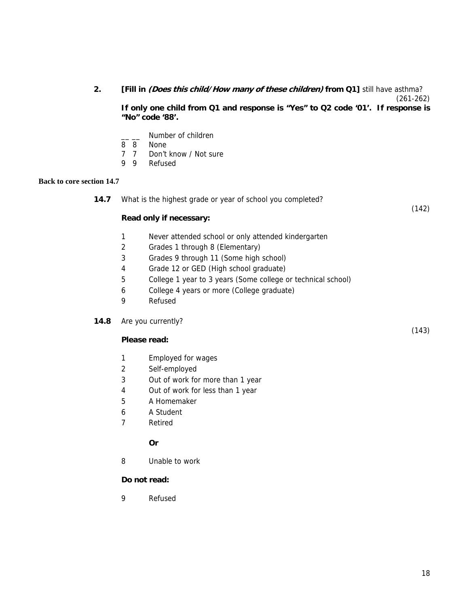## **2. [Fill in (Does this child/How many of these children) from Q1]** still have asthma?

(261-262)

**If only one child from Q1 and response is "Yes" to Q2 code '01'. If response is "No" code '88'.**

- Number of children
- 8 8 None
- 7 7 Don't know / Not sure
- 9 9 Refused

#### **Back to core section 14.7**

**14.7** What is the highest grade or year of school you completed?

(142)

(143)

#### **Read only if necessary:**

- 1 Never attended school or only attended kindergarten
- 2 Grades 1 through 8 (Elementary)
- 3 Grades 9 through 11 (Some high school)
- 4 Grade 12 or GED (High school graduate)
- 5 College 1 year to 3 years (Some college or technical school)
- 6 College 4 years or more (College graduate)
- 9 Refused
- **14.8** Are you currently?

### **Please read:**

- 1 Employed for wages
- 2 Self-employed
- 3 Out of work for more than 1 year
- 4 Out of work for less than 1 year
- 5 A Homemaker
- 6 A Student
- 7 Retired

### **Or**

8 Unable to work

### **Do not read:**

9 Refused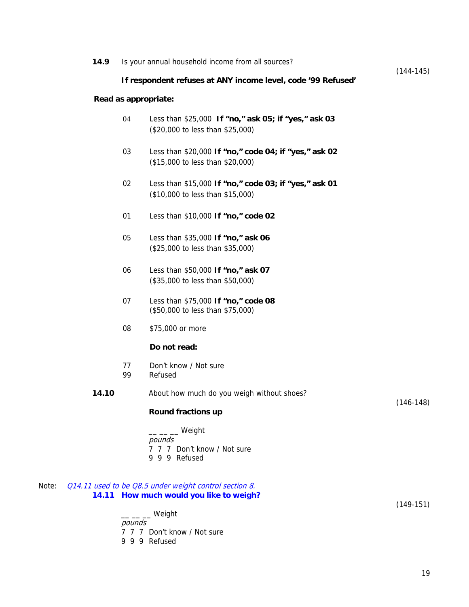|       | 14.9  |          | Is your annual household income from all sources?                                                 |             |
|-------|-------|----------|---------------------------------------------------------------------------------------------------|-------------|
|       |       |          | If respondent refuses at ANY income level, code '99 Refused'                                      | $(144-145)$ |
|       |       |          | Read as appropriate:                                                                              |             |
|       |       | 04       | Less than \$25,000 If "no," ask 05; if "yes," ask 03<br>(\$20,000 to less than \$25,000)          |             |
|       |       | 03       | Less than \$20,000 If "no," code 04; if "yes," ask 02<br>(\$15,000 to less than \$20,000)         |             |
|       |       | 02       | Less than \$15,000 If "no," code 03; if "yes," ask 01<br>(\$10,000 to less than \$15,000)         |             |
|       |       | 01       | Less than \$10,000 If "no," code 02                                                               |             |
|       |       | 05       | Less than \$35,000 If "no," ask 06<br>(\$25,000 to less than \$35,000)                            |             |
|       |       | 06       | Less than \$50,000 If "no," ask 07<br>(\$35,000 to less than \$50,000)                            |             |
|       |       | 07       | Less than \$75,000 If "no," code 08<br>(\$50,000 to less than \$75,000)                           |             |
|       |       | 08       | \$75,000 or more                                                                                  |             |
|       |       |          | Do not read:                                                                                      |             |
|       |       | 77<br>99 | Don't know / Not sure<br>Refused                                                                  |             |
|       | 14.10 |          | About how much do you weigh without shoes?                                                        |             |
|       |       |          | Round fractions up                                                                                | $(146-148)$ |
|       |       |          | $ -$ Weight<br>pounds<br>7 7 7 Don't know / Not sure<br>9 9 9 Refused                             |             |
| Note: |       |          | Q14.11 used to be Q8.5 under weight control section 8.<br>14.11 How much would you like to weigh? | $(149-151)$ |
|       |       | pounds   | __ __ Weight                                                                                      |             |

7 7 7 Don't know / Not sure

9 9 9 Refused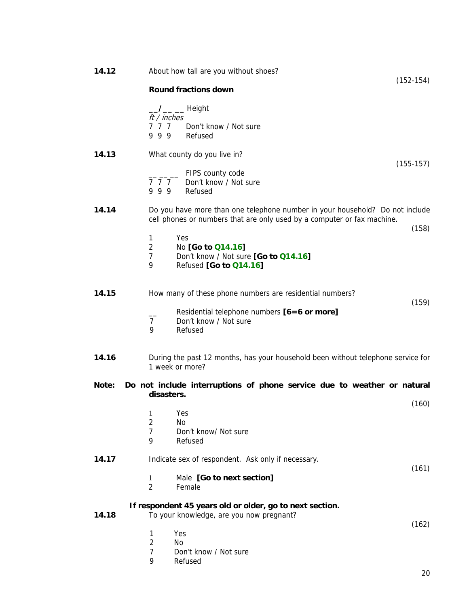| 14.12 | About how tall are you without shoes?<br>$(152-154)$                                                                                                    |
|-------|---------------------------------------------------------------------------------------------------------------------------------------------------------|
|       | <b>Round fractions down</b>                                                                                                                             |
|       | /___ __ Height<br>ft / inches<br>777<br>Don't know / Not sure<br>999<br>Refused                                                                         |
| 14.13 | What county do you live in?                                                                                                                             |
|       | $(155-157)$<br>FIPS county code<br>777<br>Don't know / Not sure<br>999<br>Refused                                                                       |
| 14.14 | Do you have more than one telephone number in your household? Do not include<br>cell phones or numbers that are only used by a computer or fax machine. |
|       | (158)<br>Yes<br>1                                                                                                                                       |
|       | $\overline{2}$<br>No [Go to Q14.16]                                                                                                                     |
|       | $\overline{7}$<br>Don't know / Not sure [Go to Q14.16]<br>9<br>Refused [Go to Q14.16]                                                                   |
| 14.15 | How many of these phone numbers are residential numbers?<br>(159)                                                                                       |
|       | Residential telephone numbers [6=6 or more]<br>$\overline{7}$<br>Don't know / Not sure<br>Refused<br>9                                                  |
| 14.16 | During the past 12 months, has your household been without telephone service for<br>1 week or more?                                                     |
| Note: | Do not include interruptions of phone service due to weather or natural<br>disasters.                                                                   |
|       | (160)<br>Yes                                                                                                                                            |
|       | 1<br>$\overline{2}$<br>No                                                                                                                               |
|       | $\overline{7}$<br>Don't know/ Not sure<br>9<br>Refused                                                                                                  |
| 14.17 | Indicate sex of respondent. Ask only if necessary.                                                                                                      |
|       | (161)<br>Male [Go to next section]<br>1<br>$\overline{2}$<br>Female                                                                                     |
| 14.18 | If respondent 45 years old or older, go to next section.<br>To your knowledge, are you now pregnant?<br>(162)                                           |
|       | Yes<br>1                                                                                                                                                |
|       | $\overline{2}$<br>No<br>7<br>Don't know / Not sure                                                                                                      |
|       | 9<br>Refused                                                                                                                                            |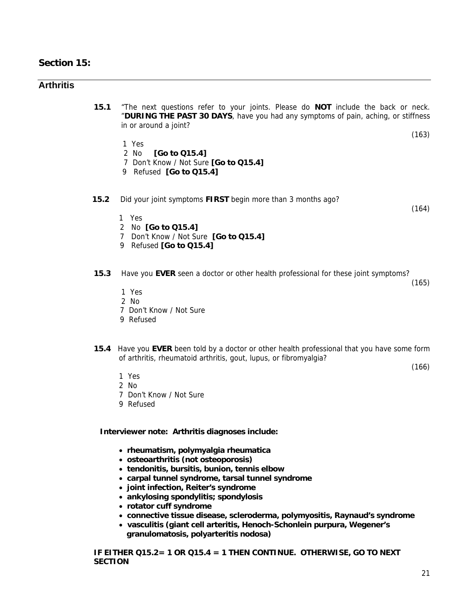## **Section 15:**

## **Arthritis**

**15.1** "The next questions refer to your joints. Please do **NOT** include the back or neck. "**DURING THE PAST 30 DAYS**, have you had any symptoms of pain, aching, or stiffness in or around a joint?

(163)

- 1 Yes
- 2 No **[Go to Q15.4]**
- 7 Don't Know / Not Sure **[Go to Q15.4]**
- 9 Refused **[Go to Q15.4]**

#### **15.2** Did your joint symptoms **FIRST** begin more than 3 months ago?

(164)

- 1 Yes
- 2 No **[Go to Q15.4]**
- 7 Don't Know / Not Sure **[Go to Q15.4]**
- 9 Refused **[Go to Q15.4]**
- **15.3** Have you **EVER** seen a doctor or other health professional for these joint symptoms?

(165)

(166)

- 1 Yes
- 2 No
- 7 Don't Know / Not Sure
- 9 Refused
- **15.4** Have you **EVER** been told by a doctor or other health professional that you have some form of arthritis, rheumatoid arthritis, gout, lupus, or fibromyalgia?

- 1 Yes
- 2 No
- 7 Don't Know / Not Sure
- 9 Refused

**Interviewer note: Arthritis diagnoses include:**

- • **rheumatism, polymyalgia rheumatica**
- • **osteoarthritis (not osteoporosis)**
- • **tendonitis, bursitis, bunion, tennis elbow**
- • **carpal tunnel syndrome, tarsal tunnel syndrome**
- • **joint infection, Reiter's syndrome**
- • **ankylosing spondylitis; spondylosis**
- • **rotator cuff syndrome**
- • **connective tissue disease, scleroderma, polymyositis, Raynaud's syndrome**
- **vasculitis (giant cell arteritis, Henoch-Schonlein purpura, Wegener's granulomatosis, polyarteritis nodosa)**

**IF EITHER Q15.2= 1 OR Q15.4 = 1 THEN CONTINUE. OTHERWISE, GO TO NEXT SECTION**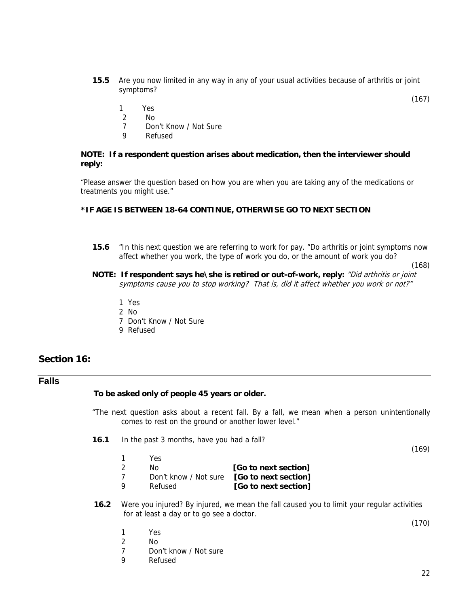- **15.5** Are you now limited in any way in any of your usual activities because of arthritis or joint symptoms?
- 1 Yes
- 2 No
	- 7 Don't Know / Not Sure
	- 9 Refused

#### **NOTE: If a respondent question arises about medication, then the interviewer should reply:**

 "Please answer the question based on how you are when you are taking any of the medications or treatments you might use."

#### **\*IF AGE IS BETWEEN 18-64 CONTINUE, OTHERWISE GO TO NEXT SECTION**

**15.6** "In this next question we are referring to work for pay. "Do arthritis or joint symptoms now affect whether you work, the type of work you do, or the amount of work you do?

(168)

(167)

- **NOTE: If respondent says he\she is retired or out-of-work, reply:** "Did arthritis or joint symptoms cause you to stop working? That is, did it affect whether you work or not?"
	- 1 Yes
	- 2 No
	- 7 Don't Know / Not Sure
	- 9 Refused

## **Section 16:**

### **Falls**

#### **To be asked only of people 45 years or older.**

"The next question asks about a recent fall. By a fall, we mean when a person unintentionally comes to rest on the ground or another lower level."

**16.1** In the past 3 months, have you had a fall?

(169)

- 1 Yes 2 No **[Go to next section]** 7 Don't know / Not sure **[Go to next section]** 9 Refused **[Go to next section]**
- **16.2** Were you injured? By injured, we mean the fall caused you to limit your regular activities for at least a day or to go see a doctor.

(170)

- 1 Yes
- 2 No
- 7 Don't know / Not sure
- 9 Refused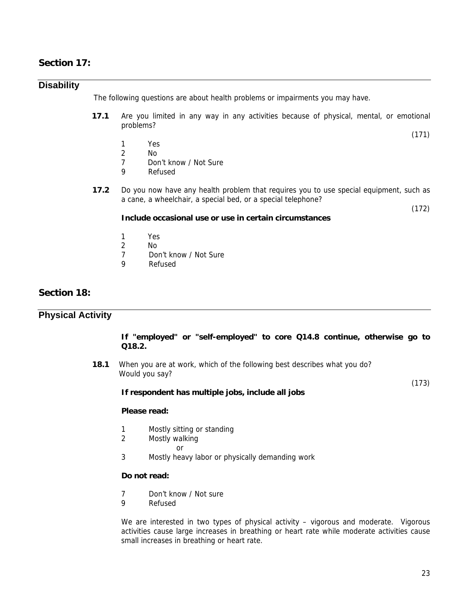## **Section 17:**

### **Disability**

The following questions are about health problems or impairments you may have.

**17.1** Are you limited in any way in any activities because of physical, mental, or emotional problems?

(171)

- 1 Yes
- 2 No<br>7 Dou
- 7 Don't know / Not Sure
- 9 Refused
- **17.2** Do you now have any health problem that requires you to use special equipment, such as a cane, a wheelchair, a special bed, or a special telephone?

(172)

#### **Include occasional use or use in certain circumstances**

- 1 Yes
- 2 No
- 7 Don't know / Not Sure
- 9 Refused

## **Section 18:**

### **Physical Activity**

#### **If "employed" or "self-employed" to core Q14.8 continue, otherwise go to Q18.2.**

**18.1** When you are at work, which of the following best describes what you do? Would you say?

(173)

#### **If respondent has multiple jobs, include all jobs**

#### **Please read:**

- 1 Mostly sitting or standing<br>2 Mostly walking
	- Mostly walking
- **or** and the state of the state of the state of the state of the state of the state of the state of the state of the state of the state of the state of the state of the state of the state of the state of the state of the s
	- 3 Mostly heavy labor or physically demanding work

#### **Do not read:**

- 7 Don't know / Not sure
- 9 Refused

 We are interested in two types of physical activity – vigorous and moderate. Vigorous activities cause large increases in breathing or heart rate while moderate activities cause small increases in breathing or heart rate.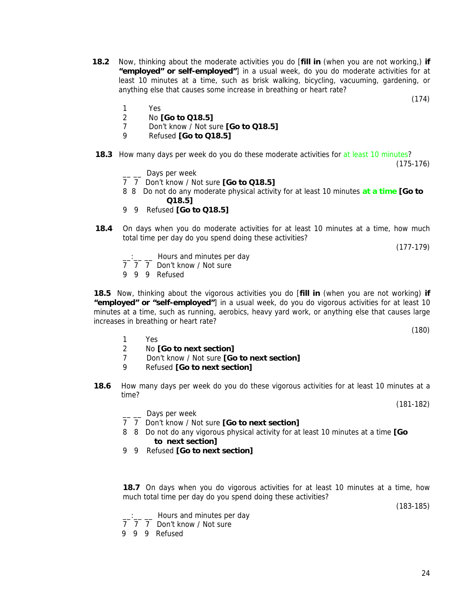- **18.2** Now, thinking about the moderate activities you do [**fill in** (when you are not working,) **if "employed" or self-employed"**] in a usual week, do you do moderate activities for at least 10 minutes at a time, such as brisk walking, bicycling, vacuuming, gardening, or anything else that causes some increase in breathing or heart rate?
	- 1 Yes
	- 2 No **[Go to Q18.5]**
	- 7 Don't know / Not sure **[Go to Q18.5]**
	- 9 Refused **[Go to Q18.5]**
- **18.3** How many days per week do you do these moderate activities for at least 10 minutes?

(175-176)

(174)

- $\frac{1}{2}$  Days per week
- 7 7 Don't know / Not sure **[Go to Q18.5]**
	- 8 8 Do not do any moderate physical activity for at least 10 minutes **at a time [Go to Q18.5]**
	- 9 9 Refused **[Go to Q18.5]**
	- **18.4** On days when you do moderate activities for at least 10 minutes at a time, how much total time per day do you spend doing these activities?

(177-179)

- \_\_ Hours and minutes per day
- 7 7 7 Don't know / Not sure
- 9 9 9 Refused

**18.5** Now, thinking about the vigorous activities you do [**fill in** (when you are not working) **if "employed" or "self-employed"**] in a usual week, do you do vigorous activities for at least 10 minutes at a time, such as running, aerobics, heavy yard work, or anything else that causes large increases in breathing or heart rate?

- 1 Yes
- 2 No **[Go to next section]**
- 7 Don't know / Not sure **[Go to next section]**
- 9 Refused **[Go to next section]**
- **18.6** How many days per week do you do these vigorous activities for at least 10 minutes at a time?

(181-182)

(180)

- \_ \_ Days per week
- 7 7 Don't know / Not sure **[Go to next section]**
- 8 8 Do not do any vigorous physical activity for at least 10 minutes at a time **[Go to next section]**
- 9 9 Refused **[Go to next section]**

**18.7** On days when you do vigorous activities for at least 10 minutes at a time, how much total time per day do you spend doing these activities?

(183-185)

- \_\_:\_\_ \_\_ Hours and minutes per day
- 7 7 7 Don't know / Not sure
- 9 9 9 Refused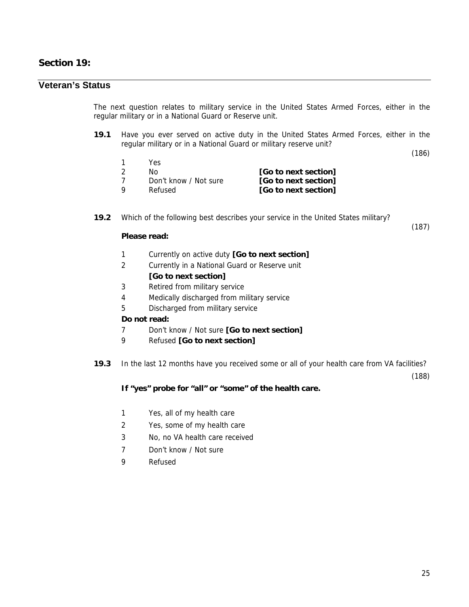## **Section 19:**

## **Veteran's Status**

The next question relates to military service in the United States Armed Forces, either in the regular military or in a National Guard or Reserve unit.

**19.1** Have you ever served on active duty in the United States Armed Forces, either in the regular military or in a National Guard or military reserve unit?

(186)

(187)

|     | Yes                   |                      |
|-----|-----------------------|----------------------|
| -2  | No.                   | [Go to next section] |
| - 7 | Don't know / Not sure | [Go to next section] |
| O   | Refused               | [Go to next section] |

**19.2** Which of the following best describes your service in the United States military?

#### **Please read:**

- 1 Currently on active duty **[Go to next section]**
- 2 Currently in a National Guard or Reserve unit

## **[Go to next section]**

- 3 Retired from military service
- 4 Medically discharged from military service
- 5 Discharged from military service

#### **Do not read:**

- 7 Don't know / Not sure **[Go to next section]**
- 9 Refused **[Go to next section]**
- **19.3** In the last 12 months have you received some or all of your health care from VA facilities?

(188)

### **If "yes" probe for "all" or "some" of the health care.**

- 1 Yes, all of my health care
- 2 Yes, some of my health care
- 3 No, no VA health care received
- 7 Don't know / Not sure
- 9 Refused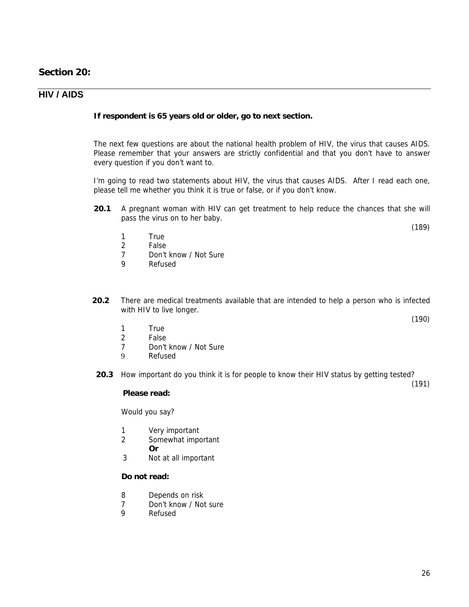## **Section 20:**

## **HIV / AIDS**

#### **If respondent is 65 years old or older, go to next section.**

The next few questions are about the national health problem of HIV, the virus that causes AIDS. Please remember that your answers are strictly confidential and that you don't have to answer every question if you don't want to.

I'm going to read two statements about HIV, the virus that causes AIDS. After I read each one, please tell me whether you think it is true or false, or if you don't know.

- **20.1** A pregnant woman with HIV can get treatment to help reduce the chances that she will pass the virus on to her baby.
	- 1 True
	- 2 False<br>7 Don't
	- Don't know / Not Sure
	- 9 Refused
- **20.2** There are medical treatments available that are intended to help a person who is infected with HIV to live longer.
	- 1 True<br>2 False
	- **False**
	- 7 Don't know / Not Sure
	- 9 Refused
- **20.3** How important do you think it is for people to know their HIV status by getting tested?

(191)

(190)

(189)

#### **Please read:**

Would you say?

- 1 Very important
- 2 Somewhat important
	- **Or**
- 3 Not at all important

#### **Do not read:**

- 8 Depends on risk
- 7 Don't know / Not sure
- 9 Refused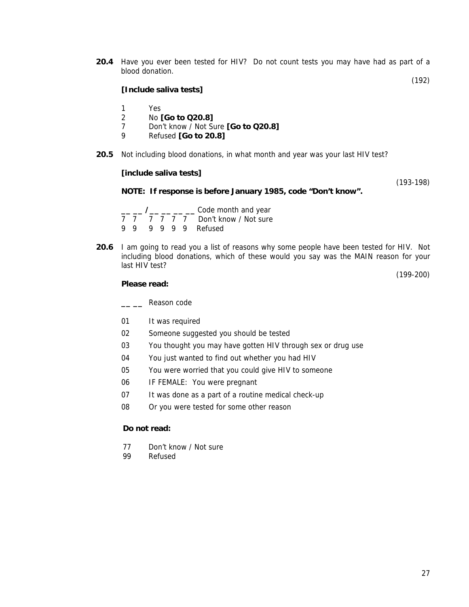**20.4** Have you ever been tested for HIV? Do not count tests you may have had as part of a blood donation.

(192)

#### **[Include saliva tests]**

- 1 Yes
- 2 No **[Go to Q20.8]**
- 7 Don't know / Not Sure **[Go to Q20.8]**
- 9 Refused **[Go to 20.8]**
- **20.5** Not including blood donations, in what month and year was your last HIV test?

#### **[include saliva tests]**

(193-198)

#### **NOTE: If response is before January 1985, code "Don't know".**

|  |  |  | $\frac{1}{1}$ $\frac{1}{1}$ $\frac{1}{1}$ $\frac{1}{1}$ $\frac{1}{1}$ $\frac{1}{1}$ $\frac{1}{1}$ $\frac{1}{1}$ $\frac{1}{1}$ $\frac{1}{1}$ $\frac{1}{1}$ $\frac{1}{1}$ $\frac{1}{1}$ $\frac{1}{1}$ $\frac{1}{1}$ $\frac{1}{1}$ $\frac{1}{1}$ $\frac{1}{1}$ $\frac{1}{1}$ $\frac{1}{1}$ $\frac{1}{1}$ $\frac{1}{1}$ |
|--|--|--|---------------------------------------------------------------------------------------------------------------------------------------------------------------------------------------------------------------------------------------------------------------------------------------------------------------------|
|  |  |  | 7 7 7 7 7 7 Don't know / Not sure                                                                                                                                                                                                                                                                                   |
|  |  |  | 9 9 9 9 9 9 Refused                                                                                                                                                                                                                                                                                                 |

**20.6** I am going to read you a list of reasons why some people have been tested for HIV. Not including blood donations, which of these would you say was the MAIN reason for your last HIV test?

(199-200)

#### **Please read:**

**\_\_ \_\_** Reason code

- 01 It was required
- 02 Someone suggested you should be tested
- 03 You thought you may have gotten HIV through sex or drug use
- 04 You just wanted to find out whether you had HIV
- 05 You were worried that you could give HIV to someone
- 06 IF FEMALE: You were pregnant
- 07 It was done as a part of a routine medical check-up
- 08 Or you were tested for some other reason

#### **Do not read:**

- 77 Don't know / Not sure
- 99 Refused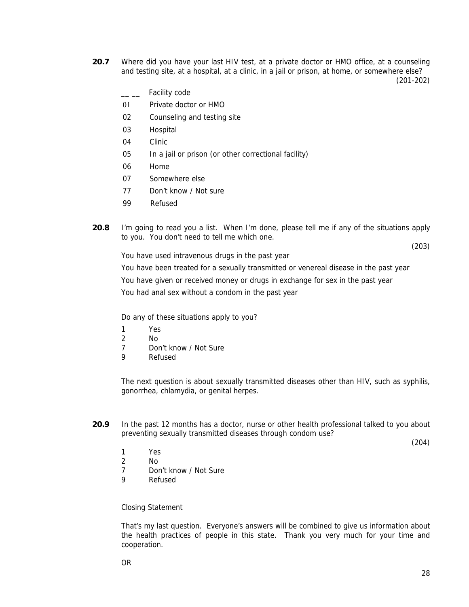**20.7** Where did you have your last HIV test, at a private doctor or HMO office, at a counseling and testing site, at a hospital, at a clinic, in a jail or prison, at home, or somewhere else?

(201-202)

- <sub>\_\_</sub> Facility code
- 01 Private doctor or HMO
- 02 Counseling and testing site
- 03 Hospital
- 04 Clinic
- 05 In a jail or prison (or other correctional facility)
- 06 Home
- 07 Somewhere else
- 77 Don't know / Not sure
- 99 Refused
- **20.8** I'm going to read you a list. When I'm done, please tell me if any of the situations apply to you. You don't need to tell me which one.

(203)

You have used intravenous drugs in the past year

You have been treated for a sexually transmitted or venereal disease in the past year You have given or received money or drugs in exchange for sex in the past year You had anal sex without a condom in the past year

Do any of these situations apply to you?

- 1 Yes
- 2 No
- 7 Don't know / Not Sure
- 9 Refused

The next question is about sexually transmitted diseases other than HIV, such as syphilis, gonorrhea, chlamydia, or genital herpes.

**20.9** In the past 12 months has a doctor, nurse or other health professional talked to you about preventing sexually transmitted diseases through condom use?

(204)

- 1 Yes
- 2 No
- 7 Don't know / Not Sure
- 9 Refused

Closing Statement

That's my last question. Everyone's answers will be combined to give us information about the health practices of people in this state. Thank you very much for your time and cooperation.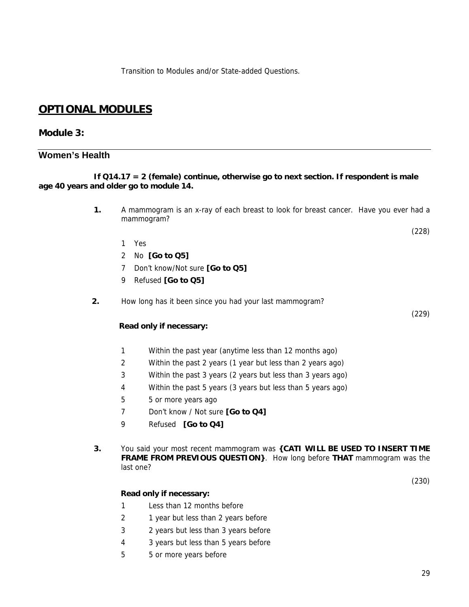Transition to Modules and/or State-added Questions.

## **OPTIONAL MODULES**

## **Module 3:**

## **Women's Health**

#### **If Q14.17 = 2 (female) continue, otherwise go to next section. If respondent is male age 40 years and older go to module 14.**

- **1.** A mammogram is an x-ray of each breast to look for breast cancer. Have you ever had a mammogram?
	- (228)

(229)

- 1 Yes
- 2 No **[Go to Q5]**
- 7 Don't know/Not sure **[Go to Q5]**
- 9 Refused **[Go to Q5]**
- **2.** How long has it been since you had your last mammogram?

#### **Read only if necessary:**

- 1 Within the past year (anytime less than 12 months ago)
- 2 Within the past 2 years (1 year but less than 2 years ago)
- 3 Within the past 3 years (2 years but less than 3 years ago)
- 4 Within the past 5 years (3 years but less than 5 years ago)
- 5 5 or more years ago
- 7 Don't know / Not sure **[Go to Q4]**
- 9 Refused **[Go to Q4]**
- **3.** You said your most recent mammogram was **{CATI WILL BE USED TO INSERT TIME FRAME FROM PREVIOUS QUESTION}**. How long before **THAT** mammogram was the last one?

(230)

#### **Read only if necessary:**

- 1 Less than 12 months before
- 2 1 year but less than 2 years before
- 3 2 years but less than 3 years before
- 4 3 years but less than 5 years before
- 5 5 or more years before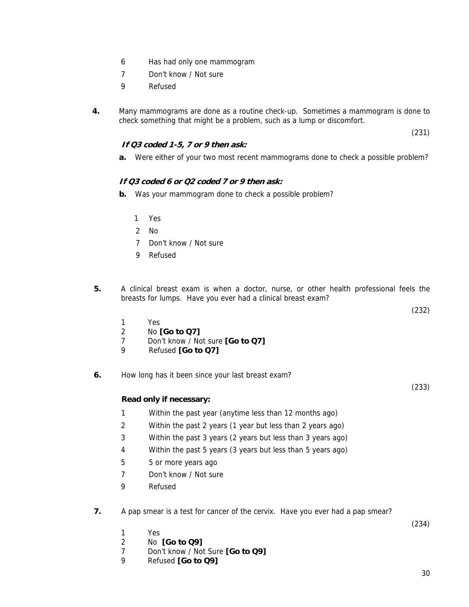- 6 Has had only one mammogram
- 7 Don't know / Not sure
- 9 Refused
- **4.** Many mammograms are done as a routine check-up. Sometimes a mammogram is done to check something that might be a problem, such as a lump or discomfort.

(231)

### **If Q3 coded 1-5, 7 or 9 then ask:**

**a.** Were either of your two most recent mammograms done to check a possible problem?

### **If Q3 coded 6 or Q2 coded 7 or 9 then ask:**

- **b.** Was your mammogram done to check a possible problem?
	- 1 Yes
	- 2 No
	- 7 Don't know / Not sure
	- 9 Refused
- **5.** A clinical breast exam is when a doctor, nurse, or other health professional feels the breasts for lumps. Have you ever had a clinical breast exam?

(232)

(233)

- 1 Yes
- 2 No **[Go to Q7]**
- 7 Don't know / Not sure **[Go to Q7]**
- 9 Refused **[Go to Q7]**
- **6.** How long has it been since your last breast exam?

#### **Read only if necessary:**

- 1 Within the past year (anytime less than 12 months ago)
- 2 Within the past 2 years (1 year but less than 2 years ago)
- 3 Within the past 3 years (2 years but less than 3 years ago)
- 4 Within the past 5 years (3 years but less than 5 years ago)
- 5 5 or more years ago
- 7 Don't know / Not sure
- 9 Refused
- **7.** A pap smear is a test for cancer of the cervix. Have you ever had a pap smear?

(234)

- 1 Yes
- 2 No **[Go to Q9]**
- 7 Don't know / Not Sure **[Go to Q9]**
- 9 Refused **[Go to Q9]**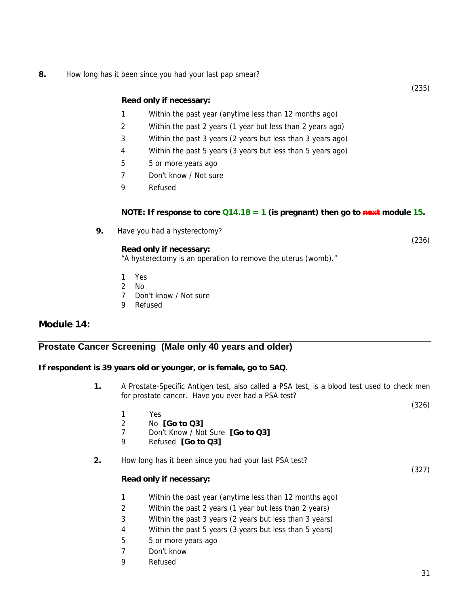**8.** How long has it been since you had your last pap smear?

#### **Read only if necessary:**

- 1 Within the past year (anytime less than 12 months ago)
- 2 Within the past 2 years (1 year but less than 2 years ago)
- 3 Within the past 3 years (2 years but less than 3 years ago)
- 4 Within the past 5 years (3 years but less than 5 years ago)
- 5 5 or more years ago
- 7 Don't know / Not sure
- 9 Refused

#### **NOTE: If response to core**  $Q14.18 = 1$  **(is pregnant) then go to next module 15.**

**9.** Have you had a hysterectomy?

#### **Read only if necessary:**

"A hysterectomy is an operation to remove the uterus (womb)."

- 1 Yes
- 2 No
- 7 Don't know / Not sure
- 9 Refused

### **Module 14:**

### **Prostate Cancer Screening (Male only 40 years and older)**

#### **If respondent is 39 years old or younger, or is female, go to SAQ.**

- **1.** A Prostate-Specific Antigen test, also called a PSA test, is a blood test used to check men for prostate cancer. Have you ever had a PSA test?
	- 1 Yes
	- 2 No **[Go to Q3]**
	- 7 Don't Know / Not Sure **[Go to Q3]**
	- 9 Refused **[Go to Q3]**
- **2.** How long has it been since you had your last PSA test?

#### **Read only if necessary:**

- 1 Within the past year (anytime less than 12 months ago)
- 2 Within the past 2 years (1 year but less than 2 years)
- 3 Within the past 3 years (2 years but less than 3 years)
- 4 Within the past 5 years (3 years but less than 5 years)
- 5 5 or more years ago
- 7 Don't know
- 9 Refused

(235)

(236)

(327)

(326)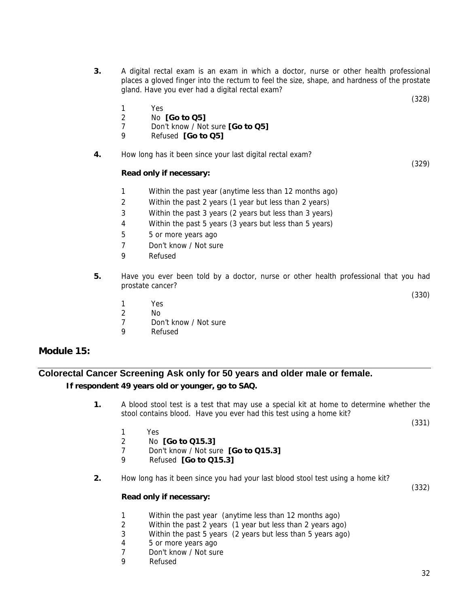**3.** A digital rectal exam is an exam in which a doctor, nurse or other health professional places a gloved finger into the rectum to feel the size, shape, and hardness of the prostate gland. Have you ever had a digital rectal exam?

(328)

(329)

- 1 Yes
- 2 No **[Go to Q5]**
- 7 Don't know / Not sure **[Go to Q5]**
- 9 Refused **[Go to Q5]**
- **4.** How long has it been since your last digital rectal exam?

#### **Read only if necessary:**

- 1 Within the past year (anytime less than 12 months ago)
- 2 Within the past 2 years (1 year but less than 2 years)
- 3 Within the past 3 years (2 years but less than 3 years)
- 4 Within the past 5 years (3 years but less than 5 years)
- 5 5 or more years ago
- 7 Don't know / Not sure
- 9 Refused
- **5.** Have you ever been told by a doctor, nurse or other health professional that you had prostate cancer?

(330)

- 1 Yes
- 2 No
- 7 Don't know / Not sure
- 9 Refused

### **Module 15:**

## **Colorectal Cancer Screening Ask only for 50 years and older male or female. If respondent 49 years old or younger, go to SAQ.**

**1.** A blood stool test is a test that may use a special kit at home to determine whether the stool contains blood. Have you ever had this test using a home kit?

(331)

- 1 Yes
- 2 No **[Go to Q15.3]**
- 7 Don't know / Not sure **[Go to Q15.3]**
- 9 Refused **[Go to Q15.3]**
- **2.** How long has it been since you had your last blood stool test using a home kit?

(332)

- **Read only if necessary:**
	- 1 Within the past year (anytime less than 12 months ago)
	- 2 Within the past 2 years (1 year but less than 2 years ago)
- 3 Within the past 5 years (2 years but less than 5 years ago)
- 4 5 or more years ago
- 7 Don't know / Not sure
- 9 Refused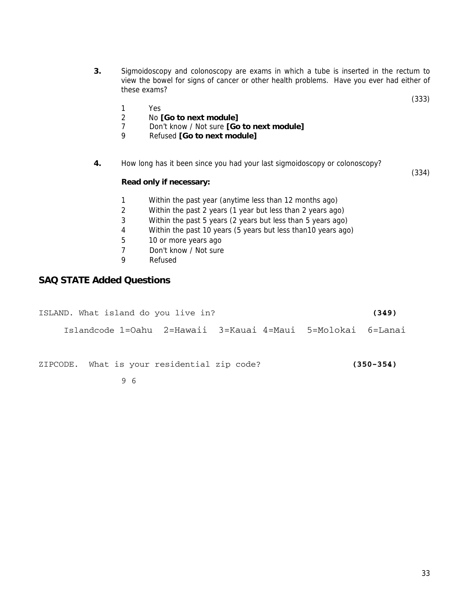- **3.** Sigmoidoscopy and colonoscopy are exams in which a tube is inserted in the rectum to view the bowel for signs of cancer or other health problems. Have you ever had either of these exams?
	- 1 Yes<br>2 Nol
	- 2 No **[Go to next module]**<br>7 Don't know / Not sure **[Go**
	- 7 Don't know / Not sure **[Go to next module]**
	- 9 Refused **[Go to next module]**
- **4.** How long has it been since you had your last sigmoidoscopy or colonoscopy?

#### **Read only if necessary:**

- 1 Within the past year (anytime less than 12 months ago)
- 2 Within the past 2 years (1 year but less than 2 years ago)
- 3 Within the past 5 years (2 years but less than 5 years ago)
- 4 Within the past 10 years (5 years but less than10 years ago)
- 5 10 or more years ago
- 7 Don't know / Not sure
- 9 Refused

## **SAQ STATE Added Questions**

| ISLAND. What island do you live in?                         |  |  | (349)         |
|-------------------------------------------------------------|--|--|---------------|
| Islandcode 1=0ahu 2=Hawaii 3=Kauai 4=Maui 5=Molokai 6=Lanai |  |  |               |
| ZIPCODE. What is your residential zip code?                 |  |  | $(350 - 354)$ |
| 96                                                          |  |  |               |

(333)

(334)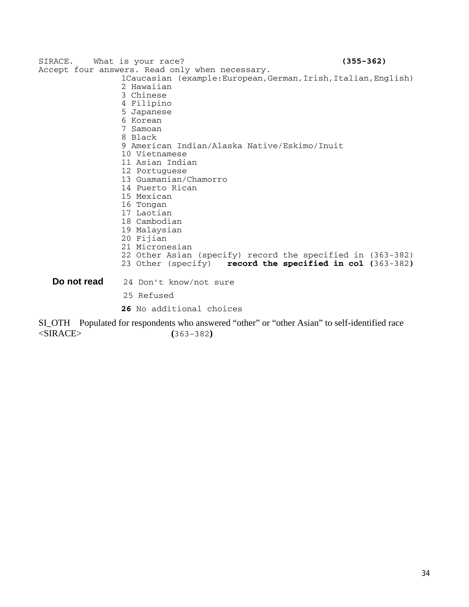SIRACE. What is your race? **(355-362)** Accept four answers. Read only when necessary. 1Caucasian (example:European,German,Irish,Italian,English) 2 Hawaiian 3 Chinese 4 Filipino 5 Japanese 6 Korean 7 Samoan 8 Black 9 American Indian/Alaska Native/Eskimo/Inuit 10 Vietnamese 11 Asian Indian 12 Portuguese 13 Guamanian/Chamorro 14 Puerto Rican 15 Mexican 16 Tongan 17 Laotian 18 Cambodian 19 Malaysian 20 Fijian 21 Micronesian 22 Other Asian (specify) record the specified in (363-382) 23 Other (specify) **record the specified in col (**363-382**) Do not read** 24 Don't know/not sure 25 Refused **26** No additional choices SI\_OTH Populated for respondents who answered "other" or "other Asian" to self-identified race

<SIRACE> **(**363-382**)**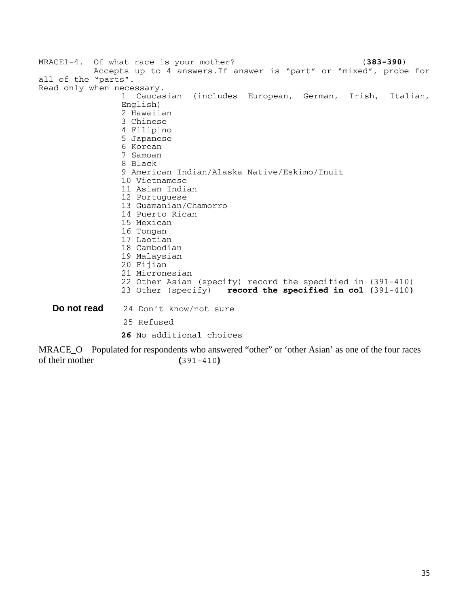|                     | MRACE1-4. Of what race is your mother?<br>$(383 - 390)$            |
|---------------------|--------------------------------------------------------------------|
|                     | Accepts up to 4 answers. If answer is "part" or "mixed", probe for |
| all of the "parts". |                                                                    |
|                     | Read only when necessary.                                          |
|                     | (includes European, German, Irish,<br>1.<br>Caucasian<br>Italian,  |
|                     | English)                                                           |
|                     | 2 Hawaiian                                                         |
|                     | 3 Chinese                                                          |
|                     | 4 Filipino                                                         |
|                     | 5 Japanese                                                         |
|                     | 6 Korean                                                           |
|                     | 7 Samoan                                                           |
|                     | 8 Black                                                            |
|                     | 9 American Indian/Alaska Native/Eskimo/Inuit                       |
|                     | 10 Vietnamese                                                      |
|                     | 11 Asian Indian                                                    |
|                     | 12 Portuguese                                                      |
|                     | 13 Guamanian/Chamorro                                              |
|                     | 14 Puerto Rican                                                    |
|                     | 15 Mexican                                                         |
|                     | 16 Tongan                                                          |
|                     | 17 Laotian                                                         |
|                     | 18 Cambodian                                                       |
|                     | 19 Malaysian                                                       |
|                     | 20 Fijian                                                          |
|                     | 21 Micronesian                                                     |
|                     | 22 Other Asian (specify) record the specified in (391-410)         |
|                     | 23 Other (specify) record the specified in col $(391-410)$         |
| Do not read         | 24 Don't know/not sure                                             |
|                     | 25 Refused                                                         |
|                     | 26 No additional choices                                           |

MRACE\_O Populated for respondents who answered "other" or 'other Asian' as one of the four races of their mother **(**391-410**)**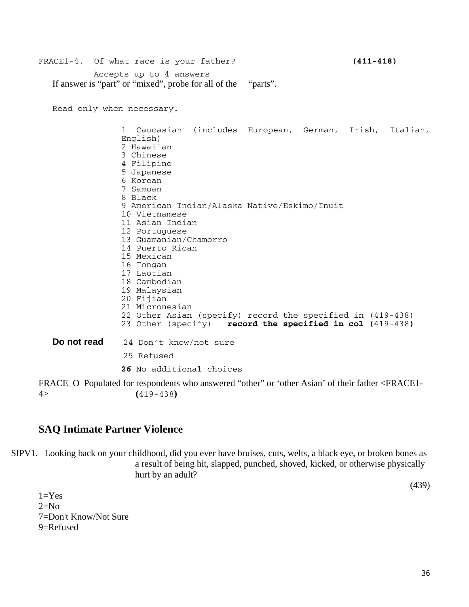# FRACE1-4. Of what race is your father? **(411-418)** Accepts up to 4 answers If answer is "part" or "mixed", probe for all of the "parts".

Read only when necessary.

1 Caucasian (includes European, German, Irish, Italian, English) 2 Hawaiian 3 Chinese 4 Filipino 5 Japanese 6 Korean 7 Samoan 8 Black 9 American Indian/Alaska Native/Eskimo/Inuit 10 Vietnamese 11 Asian Indian 12 Portuguese 13 Guamanian/Chamorro 14 Puerto Rican 15 Mexican 16 Tongan 17 Laotian 18 Cambodian 19 Malaysian 20 Fijian 21 Micronesian 22 Other Asian (specify) record the specified in (419-438)<br>23 Other (specify) **record the specified in col (**419-438) record the specified in col (419-438) **Do not read** 24 Don't know/not sure 25 Refused **26** No additional choices

FRACE\_O Populated for respondents who answered "other" or 'other Asian' of their father <FRACE1-4> **(**419-438**)**

## **SAQ Intimate Partner Violence**

SIPV1. Looking back on your childhood, did you ever have bruises, cuts, welts, a black eye, or broken bones as a result of being hit, slapped, punched, shoved, kicked, or otherwise physically hurt by an adult?

(439)

 $1=Yes$  $2=N<sub>0</sub>$ 7=Don't Know/Not Sure 9=Refused